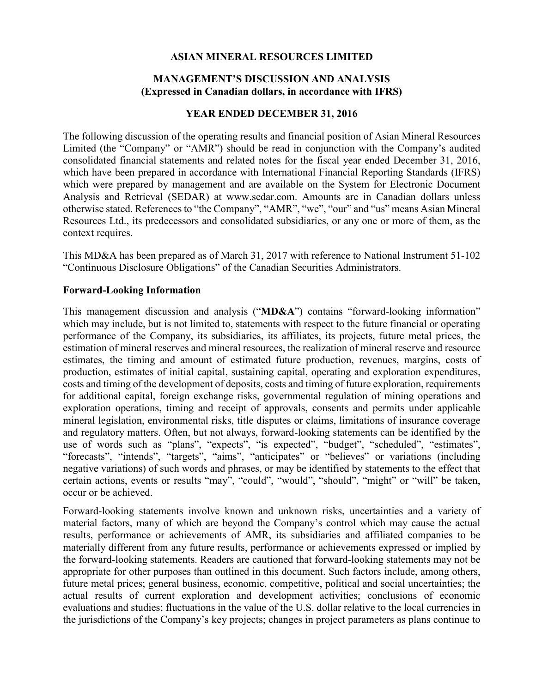### **ASIAN MINERAL RESOURCES LIMITED**

### **MANAGEMENT'S DISCUSSION AND ANALYSIS (Expressed in Canadian dollars, in accordance with IFRS)**

### **YEAR ENDED DECEMBER 31, 2016**

The following discussion of the operating results and financial position of Asian Mineral Resources Limited (the "Company" or "AMR") should be read in conjunction with the Company's audited consolidated financial statements and related notes for the fiscal year ended December 31, 2016, which have been prepared in accordance with International Financial Reporting Standards (IFRS) which were prepared by management and are available on the System for Electronic Document Analysis and Retrieval (SEDAR) at www.sedar.com. Amounts are in Canadian dollars unless otherwise stated. References to "the Company", "AMR", "we", "our" and "us" means Asian Mineral Resources Ltd., its predecessors and consolidated subsidiaries, or any one or more of them, as the context requires.

This MD&A has been prepared as of March 31, 2017 with reference to National Instrument 51-102 "Continuous Disclosure Obligations" of the Canadian Securities Administrators.

### **Forward-Looking Information**

This management discussion and analysis ("**MD&A**") contains "forward-looking information" which may include, but is not limited to, statements with respect to the future financial or operating performance of the Company, its subsidiaries, its affiliates, its projects, future metal prices, the estimation of mineral reserves and mineral resources, the realization of mineral reserve and resource estimates, the timing and amount of estimated future production, revenues, margins, costs of production, estimates of initial capital, sustaining capital, operating and exploration expenditures, costs and timing of the development of deposits, costs and timing of future exploration, requirements for additional capital, foreign exchange risks, governmental regulation of mining operations and exploration operations, timing and receipt of approvals, consents and permits under applicable mineral legislation, environmental risks, title disputes or claims, limitations of insurance coverage and regulatory matters. Often, but not always, forward-looking statements can be identified by the use of words such as "plans", "expects", "is expected", "budget", "scheduled", "estimates", "forecasts", "intends", "targets", "aims", "anticipates" or "believes" or variations (including negative variations) of such words and phrases, or may be identified by statements to the effect that certain actions, events or results "may", "could", "would", "should", "might" or "will" be taken, occur or be achieved.

Forward-looking statements involve known and unknown risks, uncertainties and a variety of material factors, many of which are beyond the Company's control which may cause the actual results, performance or achievements of AMR, its subsidiaries and affiliated companies to be materially different from any future results, performance or achievements expressed or implied by the forward-looking statements. Readers are cautioned that forward-looking statements may not be appropriate for other purposes than outlined in this document. Such factors include, among others, future metal prices; general business, economic, competitive, political and social uncertainties; the actual results of current exploration and development activities; conclusions of economic evaluations and studies; fluctuations in the value of the U.S. dollar relative to the local currencies in the jurisdictions of the Company's key projects; changes in project parameters as plans continue to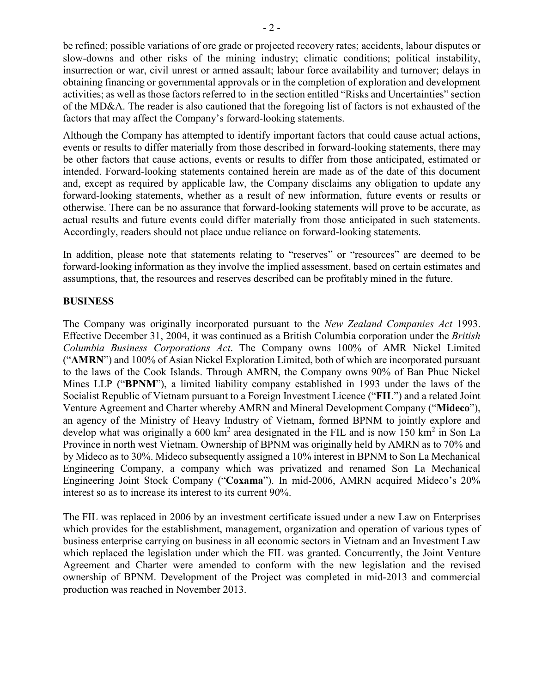be refined; possible variations of ore grade or projected recovery rates; accidents, labour disputes or slow-downs and other risks of the mining industry; climatic conditions; political instability, insurrection or war, civil unrest or armed assault; labour force availability and turnover; delays in obtaining financing or governmental approvals or in the completion of exploration and development activities; as well as those factors referred to in the section entitled "Risks and Uncertainties" section of the MD&A. The reader is also cautioned that the foregoing list of factors is not exhausted of the factors that may affect the Company's forward-looking statements.

Although the Company has attempted to identify important factors that could cause actual actions, events or results to differ materially from those described in forward-looking statements, there may be other factors that cause actions, events or results to differ from those anticipated, estimated or intended. Forward-looking statements contained herein are made as of the date of this document and, except as required by applicable law, the Company disclaims any obligation to update any forward-looking statements, whether as a result of new information, future events or results or otherwise. There can be no assurance that forward-looking statements will prove to be accurate, as actual results and future events could differ materially from those anticipated in such statements. Accordingly, readers should not place undue reliance on forward-looking statements.

In addition, please note that statements relating to "reserves" or "resources" are deemed to be forward-looking information as they involve the implied assessment, based on certain estimates and assumptions, that, the resources and reserves described can be profitably mined in the future.

### **BUSINESS**

The Company was originally incorporated pursuant to the *New Zealand Companies Act* 1993. Effective December 31, 2004, it was continued as a British Columbia corporation under the *British Columbia Business Corporations Act*. The Company owns 100% of AMR Nickel Limited ("**AMRN**") and 100% of Asian Nickel Exploration Limited, both of which are incorporated pursuant to the laws of the Cook Islands. Through AMRN, the Company owns 90% of Ban Phuc Nickel Mines LLP ("**BPNM**"), a limited liability company established in 1993 under the laws of the Socialist Republic of Vietnam pursuant to a Foreign Investment Licence ("**FIL**") and a related Joint Venture Agreement and Charter whereby AMRN and Mineral Development Company ("**Mideco**"), an agency of the Ministry of Heavy Industry of Vietnam, formed BPNM to jointly explore and develop what was originally a  $600 \text{ km}^2$  area designated in the FIL and is now 150 km<sup>2</sup> in Son La Province in north west Vietnam. Ownership of BPNM was originally held by AMRN as to 70% and by Mideco as to 30%. Mideco subsequently assigned a 10% interest in BPNM to Son La Mechanical Engineering Company, a company which was privatized and renamed Son La Mechanical Engineering Joint Stock Company ("**Coxama**"). In mid-2006, AMRN acquired Mideco's 20% interest so as to increase its interest to its current 90%.

The FIL was replaced in 2006 by an investment certificate issued under a new Law on Enterprises which provides for the establishment, management, organization and operation of various types of business enterprise carrying on business in all economic sectors in Vietnam and an Investment Law which replaced the legislation under which the FIL was granted. Concurrently, the Joint Venture Agreement and Charter were amended to conform with the new legislation and the revised ownership of BPNM. Development of the Project was completed in mid-2013 and commercial production was reached in November 2013.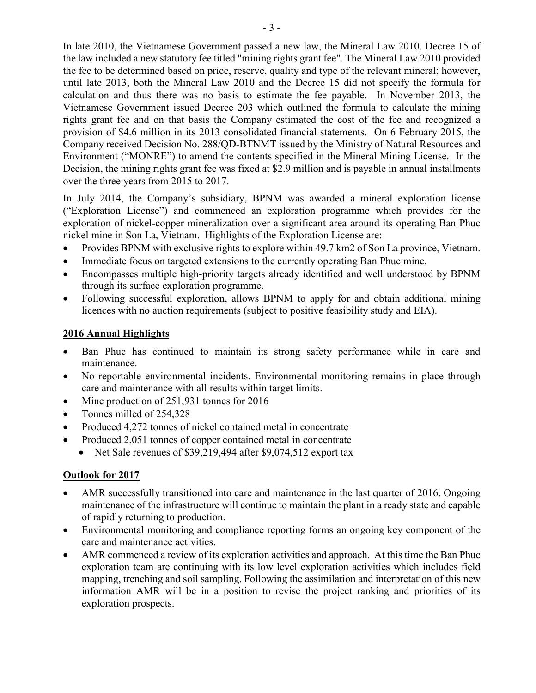In late 2010, the Vietnamese Government passed a new law, the Mineral Law 2010. Decree 15 of the law included a new statutory fee titled "mining rights grant fee". The Mineral Law 2010 provided the fee to be determined based on price, reserve, quality and type of the relevant mineral; however, until late 2013, both the Mineral Law 2010 and the Decree 15 did not specify the formula for calculation and thus there was no basis to estimate the fee payable. In November 2013, the Vietnamese Government issued Decree 203 which outlined the formula to calculate the mining rights grant fee and on that basis the Company estimated the cost of the fee and recognized a provision of \$4.6 million in its 2013 consolidated financial statements. On 6 February 2015, the Company received Decision No. 288/QD-BTNMT issued by the Ministry of Natural Resources and Environment ("MONRE") to amend the contents specified in the Mineral Mining License. In the Decision, the mining rights grant fee was fixed at \$2.9 million and is payable in annual installments over the three years from 2015 to 2017.

In July 2014, the Company's subsidiary, BPNM was awarded a mineral exploration license ("Exploration License") and commenced an exploration programme which provides for the exploration of nickel-copper mineralization over a significant area around its operating Ban Phuc nickel mine in Son La, Vietnam. Highlights of the Exploration License are:

- Provides BPNM with exclusive rights to explore within 49.7 km2 of Son La province, Vietnam.
- Immediate focus on targeted extensions to the currently operating Ban Phuc mine.
- Encompasses multiple high-priority targets already identified and well understood by BPNM through its surface exploration programme.
- Following successful exploration, allows BPNM to apply for and obtain additional mining licences with no auction requirements (subject to positive feasibility study and EIA).

# **2016 Annual Highlights**

- Ban Phuc has continued to maintain its strong safety performance while in care and maintenance.
- No reportable environmental incidents. Environmental monitoring remains in place through care and maintenance with all results within target limits.
- Mine production of 251,931 tonnes for 2016
- Tonnes milled of 254,328
- Produced 4,272 tonnes of nickel contained metal in concentrate
- Produced 2,051 tonnes of copper contained metal in concentrate
	- Net Sale revenues of \$39,219,494 after \$9,074,512 export tax

# **Outlook for 2017**

- AMR successfully transitioned into care and maintenance in the last quarter of 2016. Ongoing maintenance of the infrastructure will continue to maintain the plant in a ready state and capable of rapidly returning to production.
- Environmental monitoring and compliance reporting forms an ongoing key component of the care and maintenance activities.
- AMR commenced a review of its exploration activities and approach. At this time the Ban Phuc exploration team are continuing with its low level exploration activities which includes field mapping, trenching and soil sampling. Following the assimilation and interpretation of this new information AMR will be in a position to revise the project ranking and priorities of its exploration prospects.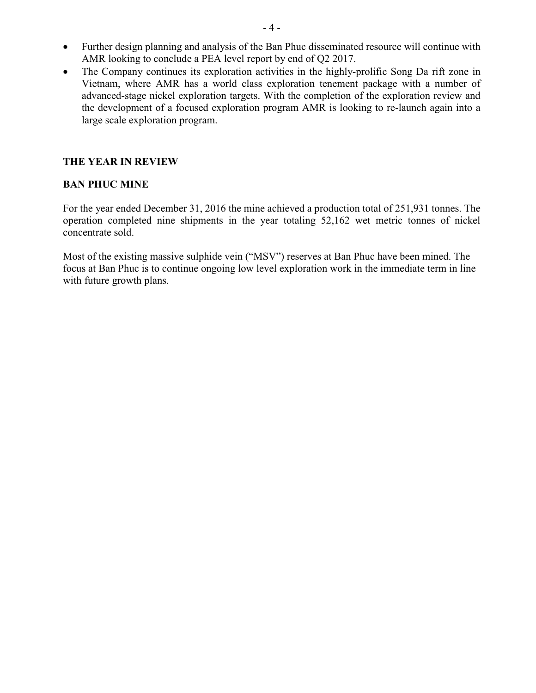- Further design planning and analysis of the Ban Phuc disseminated resource will continue with AMR looking to conclude a PEA level report by end of Q2 2017.
- The Company continues its exploration activities in the highly-prolific Song Da rift zone in Vietnam, where AMR has a world class exploration tenement package with a number of advanced-stage nickel exploration targets. With the completion of the exploration review and the development of a focused exploration program AMR is looking to re-launch again into a large scale exploration program.

### **THE YEAR IN REVIEW**

#### **BAN PHUC MINE**

For the year ended December 31, 2016 the mine achieved a production total of 251,931 tonnes. The operation completed nine shipments in the year totaling 52,162 wet metric tonnes of nickel concentrate sold.

Most of the existing massive sulphide vein ("MSV") reserves at Ban Phuc have been mined. The focus at Ban Phuc is to continue ongoing low level exploration work in the immediate term in line with future growth plans.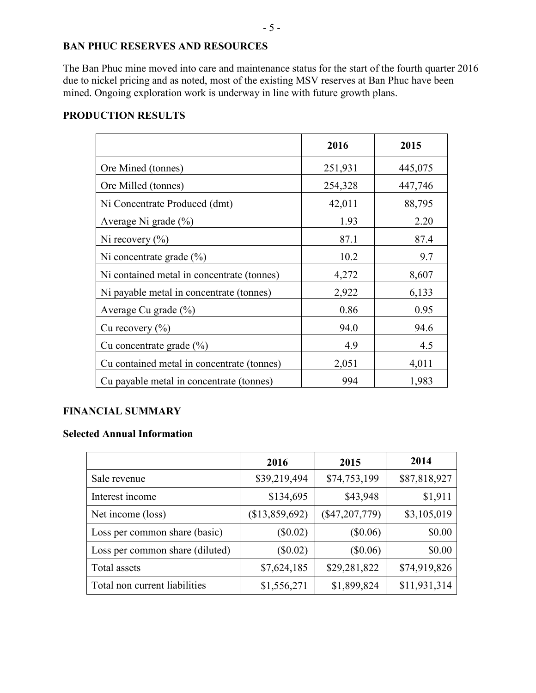# **BAN PHUC RESERVES AND RESOURCES**

The Ban Phuc mine moved into care and maintenance status for the start of the fourth quarter 2016 due to nickel pricing and as noted, most of the existing MSV reserves at Ban Phuc have been mined. Ongoing exploration work is underway in line with future growth plans.

### **PRODUCTION RESULTS**

|                                            | 2016    | 2015    |
|--------------------------------------------|---------|---------|
| Ore Mined (tonnes)                         | 251,931 | 445,075 |
| Ore Milled (tonnes)                        | 254,328 | 447,746 |
| Ni Concentrate Produced (dmt)              | 42,011  | 88,795  |
| Average Ni grade $(\% )$                   | 1.93    | 2.20    |
| Ni recovery $(\% )$                        | 87.1    | 87.4    |
| Ni concentrate grade $(\% )$               | 10.2    | 9.7     |
| Ni contained metal in concentrate (tonnes) | 4,272   | 8,607   |
| Ni payable metal in concentrate (tonnes)   | 2,922   | 6,133   |
| Average Cu grade $(\%$ )                   | 0.86    | 0.95    |
| Cu recovery $(\%$ )                        | 94.0    | 94.6    |
| Cu concentrate grade $(\% )$               | 4.9     | 4.5     |
| Cu contained metal in concentrate (tonnes) | 2,051   | 4,011   |
| Cu payable metal in concentrate (tonnes)   | 994     | 1,983   |

# **FINANCIAL SUMMARY**

### **Selected Annual Information**

|                                 | 2016           | 2015             | 2014         |
|---------------------------------|----------------|------------------|--------------|
| Sale revenue                    | \$39,219,494   | \$74,753,199     | \$87,818,927 |
| Interest income                 | \$134,695      | \$43,948         | \$1,911      |
| Net income (loss)               | (\$13,859,692) | $(\$47,207,779)$ | \$3,105,019  |
| Loss per common share (basic)   | $(\$0.02)$     | $(\$0.06)$       | \$0.00       |
| Loss per common share (diluted) | $(\$0.02)$     | $(\$0.06)$       | \$0.00       |
| Total assets                    | \$7,624,185    | \$29,281,822     | \$74,919,826 |
| Total non current liabilities   | \$1,556,271    | \$1,899,824      | \$11,931,314 |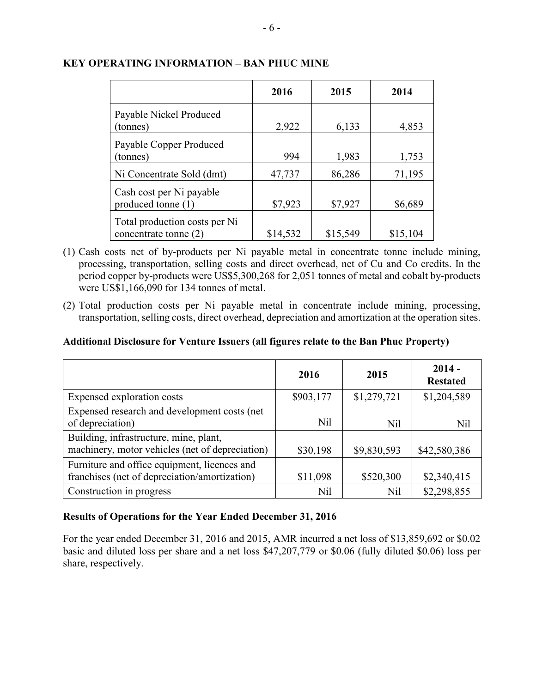|                                                        | 2016     | 2015     | 2014     |
|--------------------------------------------------------|----------|----------|----------|
| Payable Nickel Produced<br>(tonnes)                    | 2,922    | 6,133    | 4,853    |
| Payable Copper Produced<br>(tonnes)                    | 994      | 1,983    | 1,753    |
| Ni Concentrate Sold (dmt)                              | 47,737   | 86,286   | 71,195   |
| Cash cost per Ni payable<br>produced tonne (1)         | \$7,923  | \$7,927  | \$6,689  |
| Total production costs per Ni<br>concentrate tonne (2) | \$14,532 | \$15,549 | \$15,104 |

### **KEY OPERATING INFORMATION – BAN PHUC MINE**

- (1) Cash costs net of by-products per Ni payable metal in concentrate tonne include mining, processing, transportation, selling costs and direct overhead, net of Cu and Co credits. In the period copper by-products were US\$5,300,268 for 2,051 tonnes of metal and cobalt by-products were US\$1,166,090 for 134 tonnes of metal.
- (2) Total production costs per Ni payable metal in concentrate include mining, processing, transportation, selling costs, direct overhead, depreciation and amortization at the operation sites.

# **Additional Disclosure for Venture Issuers (all figures relate to the Ban Phuc Property)**

|                                                                                               | 2016            | 2015        | $2014 -$<br><b>Restated</b> |
|-----------------------------------------------------------------------------------------------|-----------------|-------------|-----------------------------|
| Expensed exploration costs                                                                    | \$903,177       | \$1,279,721 | \$1,204,589                 |
| Expensed research and development costs (net<br>of depreciation)                              | N <sub>il</sub> | Nil         | Nil                         |
| Building, infrastructure, mine, plant,<br>machinery, motor vehicles (net of depreciation)     | \$30,198        | \$9,830,593 | \$42,580,386                |
| Furniture and office equipment, licences and<br>franchises (net of depreciation/amortization) | \$11,098        | \$520,300   | \$2,340,415                 |
| Construction in progress                                                                      | Nil             | Nil         | \$2,298,855                 |

# **Results of Operations for the Year Ended December 31, 2016**

For the year ended December 31, 2016 and 2015, AMR incurred a net loss of \$13,859,692 or \$0.02 basic and diluted loss per share and a net loss \$47,207,779 or \$0.06 (fully diluted \$0.06) loss per share, respectively.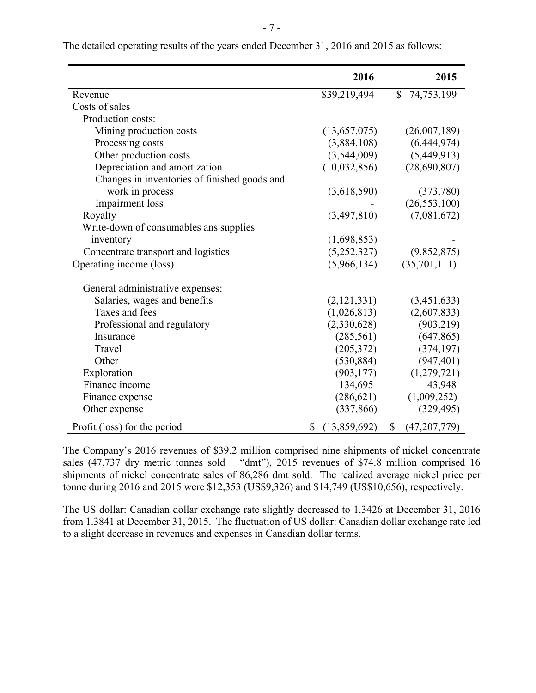|                                              | 2016               |              | 2015           |
|----------------------------------------------|--------------------|--------------|----------------|
| Revenue                                      | \$39,219,494       | $\mathbb{S}$ | 74,753,199     |
| Costs of sales                               |                    |              |                |
| Production costs:                            |                    |              |                |
| Mining production costs                      | (13,657,075)       |              | (26,007,189)   |
| Processing costs                             | (3,884,108)        |              | (6,444,974)    |
| Other production costs                       | (3,544,009)        |              | (5,449,913)    |
| Depreciation and amortization                | (10,032,856)       |              | (28,690,807)   |
| Changes in inventories of finished goods and |                    |              |                |
| work in process                              | (3,618,590)        |              | (373,780)      |
| Impairment loss                              |                    |              | (26, 553, 100) |
| Royalty                                      | (3,497,810)        |              | (7,081,672)    |
| Write-down of consumables ans supplies       |                    |              |                |
| inventory                                    | (1,698,853)        |              |                |
| Concentrate transport and logistics          | (5,252,327)        |              | (9,852,875)    |
| Operating income (loss)                      | (5,966,134)        |              | (35, 701, 111) |
|                                              |                    |              |                |
| General administrative expenses:             |                    |              |                |
| Salaries, wages and benefits                 | (2,121,331)        |              | (3,451,633)    |
| Taxes and fees                               | (1,026,813)        |              | (2,607,833)    |
| Professional and regulatory                  | (2,330,628)        |              | (903, 219)     |
| Insurance                                    | (285, 561)         |              | (647, 865)     |
| Travel                                       | (205, 372)         |              | (374, 197)     |
| Other                                        | (530, 884)         |              | (947, 401)     |
| Exploration                                  | (903, 177)         |              | (1,279,721)    |
| Finance income                               | 134,695            |              | 43,948         |
| Finance expense                              | (286, 621)         |              | (1,009,252)    |
| Other expense                                | (337, 866)         |              | (329, 495)     |
| Profit (loss) for the period                 | \$<br>(13,859,692) | $\mathbb{S}$ | (47, 207, 779) |

The detailed operating results of the years ended December 31, 2016 and 2015 as follows:

The Company's 2016 revenues of \$39.2 million comprised nine shipments of nickel concentrate sales (47,737 dry metric tonnes sold – "dmt"), 2015 revenues of \$74.8 million comprised 16 shipments of nickel concentrate sales of 86,286 dmt sold. The realized average nickel price per tonne during 2016 and 2015 were \$12,353 (US\$9,326) and \$14,749 (US\$10,656), respectively.

The US dollar: Canadian dollar exchange rate slightly decreased to 1.3426 at December 31, 2016 from 1.3841 at December 31, 2015. The fluctuation of US dollar: Canadian dollar exchange rate led to a slight decrease in revenues and expenses in Canadian dollar terms.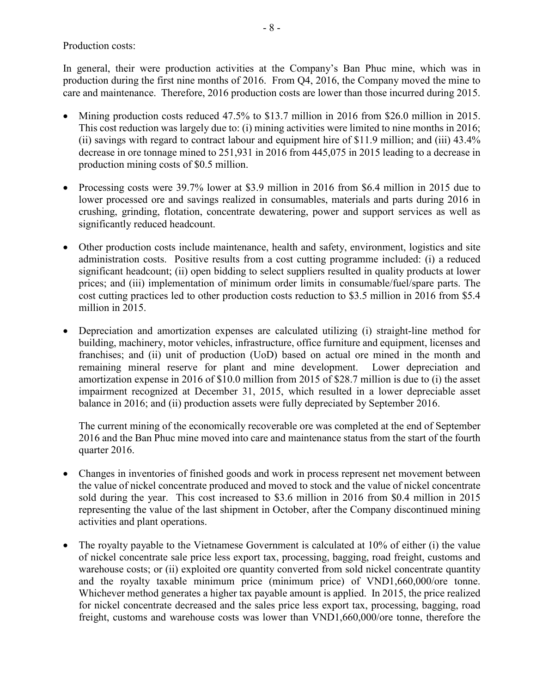Production costs:

In general, their were production activities at the Company's Ban Phuc mine, which was in production during the first nine months of 2016. From Q4, 2016, the Company moved the mine to care and maintenance. Therefore, 2016 production costs are lower than those incurred during 2015.

- Mining production costs reduced 47.5% to \$13.7 million in 2016 from \$26.0 million in 2015. This cost reduction was largely due to: (i) mining activities were limited to nine months in 2016; (ii) savings with regard to contract labour and equipment hire of \$11.9 million; and (iii) 43.4% decrease in ore tonnage mined to 251,931 in 2016 from 445,075 in 2015 leading to a decrease in production mining costs of \$0.5 million.
- Processing costs were 39.7% lower at \$3.9 million in 2016 from \$6.4 million in 2015 due to lower processed ore and savings realized in consumables, materials and parts during 2016 in crushing, grinding, flotation, concentrate dewatering, power and support services as well as significantly reduced headcount.
- Other production costs include maintenance, health and safety, environment, logistics and site administration costs. Positive results from a cost cutting programme included: (i) a reduced significant headcount; (ii) open bidding to select suppliers resulted in quality products at lower prices; and (iii) implementation of minimum order limits in consumable/fuel/spare parts. The cost cutting practices led to other production costs reduction to \$3.5 million in 2016 from \$5.4 million in 2015.
- Depreciation and amortization expenses are calculated utilizing (i) straight-line method for building, machinery, motor vehicles, infrastructure, office furniture and equipment, licenses and franchises; and (ii) unit of production (UoD) based on actual ore mined in the month and remaining mineral reserve for plant and mine development. Lower depreciation and amortization expense in 2016 of \$10.0 million from 2015 of \$28.7 million is due to (i) the asset impairment recognized at December 31, 2015, which resulted in a lower depreciable asset balance in 2016; and (ii) production assets were fully depreciated by September 2016.

The current mining of the economically recoverable ore was completed at the end of September 2016 and the Ban Phuc mine moved into care and maintenance status from the start of the fourth quarter 2016.

- Changes in inventories of finished goods and work in process represent net movement between the value of nickel concentrate produced and moved to stock and the value of nickel concentrate sold during the year. This cost increased to \$3.6 million in 2016 from \$0.4 million in 2015 representing the value of the last shipment in October, after the Company discontinued mining activities and plant operations.
- The royalty payable to the Vietnamese Government is calculated at 10% of either (i) the value of nickel concentrate sale price less export tax, processing, bagging, road freight, customs and warehouse costs; or (ii) exploited ore quantity converted from sold nickel concentrate quantity and the royalty taxable minimum price (minimum price) of VND1,660,000/ore tonne. Whichever method generates a higher tax payable amount is applied. In 2015, the price realized for nickel concentrate decreased and the sales price less export tax, processing, bagging, road freight, customs and warehouse costs was lower than VND1,660,000/ore tonne, therefore the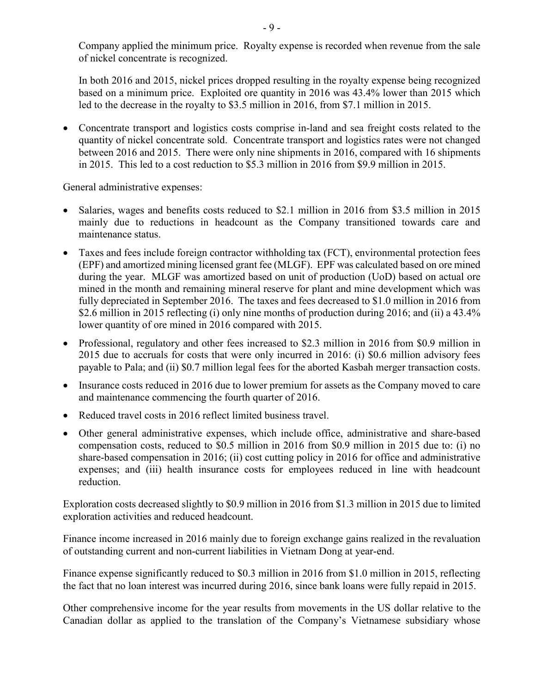Company applied the minimum price. Royalty expense is recorded when revenue from the sale of nickel concentrate is recognized.

In both 2016 and 2015, nickel prices dropped resulting in the royalty expense being recognized based on a minimum price. Exploited ore quantity in 2016 was 43.4% lower than 2015 which led to the decrease in the royalty to \$3.5 million in 2016, from \$7.1 million in 2015.

• Concentrate transport and logistics costs comprise in-land and sea freight costs related to the quantity of nickel concentrate sold. Concentrate transport and logistics rates were not changed between 2016 and 2015. There were only nine shipments in 2016, compared with 16 shipments in 2015. This led to a cost reduction to \$5.3 million in 2016 from \$9.9 million in 2015.

General administrative expenses:

- Salaries, wages and benefits costs reduced to \$2.1 million in 2016 from \$3.5 million in 2015 mainly due to reductions in headcount as the Company transitioned towards care and maintenance status.
- Taxes and fees include foreign contractor withholding tax (FCT), environmental protection fees (EPF) and amortized mining licensed grant fee (MLGF). EPF was calculated based on ore mined during the year. MLGF was amortized based on unit of production (UoD) based on actual ore mined in the month and remaining mineral reserve for plant and mine development which was fully depreciated in September 2016. The taxes and fees decreased to \$1.0 million in 2016 from \$2.6 million in 2015 reflecting (i) only nine months of production during 2016; and (ii) a 43.4% lower quantity of ore mined in 2016 compared with 2015.
- Professional, regulatory and other fees increased to \$2.3 million in 2016 from \$0.9 million in 2015 due to accruals for costs that were only incurred in 2016: (i) \$0.6 million advisory fees payable to Pala; and (ii) \$0.7 million legal fees for the aborted Kasbah merger transaction costs.
- Insurance costs reduced in 2016 due to lower premium for assets as the Company moved to care and maintenance commencing the fourth quarter of 2016.
- Reduced travel costs in 2016 reflect limited business travel.
- Other general administrative expenses, which include office, administrative and share-based compensation costs, reduced to \$0.5 million in 2016 from \$0.9 million in 2015 due to: (i) no share-based compensation in 2016; (ii) cost cutting policy in 2016 for office and administrative expenses; and (iii) health insurance costs for employees reduced in line with headcount reduction.

Exploration costs decreased slightly to \$0.9 million in 2016 from \$1.3 million in 2015 due to limited exploration activities and reduced headcount.

Finance income increased in 2016 mainly due to foreign exchange gains realized in the revaluation of outstanding current and non-current liabilities in Vietnam Dong at year-end.

Finance expense significantly reduced to \$0.3 million in 2016 from \$1.0 million in 2015, reflecting the fact that no loan interest was incurred during 2016, since bank loans were fully repaid in 2015.

Other comprehensive income for the year results from movements in the US dollar relative to the Canadian dollar as applied to the translation of the Company's Vietnamese subsidiary whose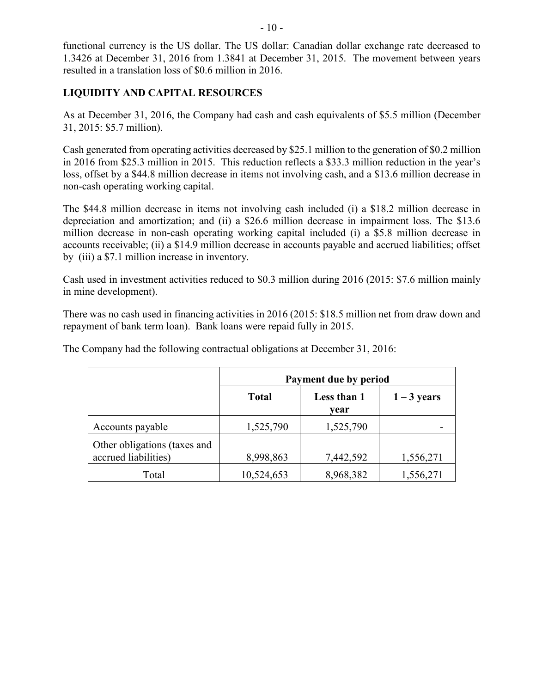functional currency is the US dollar. The US dollar: Canadian dollar exchange rate decreased to 1.3426 at December 31, 2016 from 1.3841 at December 31, 2015. The movement between years resulted in a translation loss of \$0.6 million in 2016.

# **LIQUIDITY AND CAPITAL RESOURCES**

As at December 31, 2016, the Company had cash and cash equivalents of \$5.5 million (December 31, 2015: \$5.7 million).

Cash generated from operating activities decreased by \$25.1 million to the generation of \$0.2 million in 2016 from \$25.3 million in 2015. This reduction reflects a \$33.3 million reduction in the year's loss, offset by a \$44.8 million decrease in items not involving cash, and a \$13.6 million decrease in non-cash operating working capital.

The \$44.8 million decrease in items not involving cash included (i) a \$18.2 million decrease in depreciation and amortization; and (ii) a \$26.6 million decrease in impairment loss. The \$13.6 million decrease in non-cash operating working capital included (i) a \$5.8 million decrease in accounts receivable; (ii) a \$14.9 million decrease in accounts payable and accrued liabilities; offset by (iii) a \$7.1 million increase in inventory.

Cash used in investment activities reduced to \$0.3 million during 2016 (2015: \$7.6 million mainly in mine development).

There was no cash used in financing activities in 2016 (2015: \$18.5 million net from draw down and repayment of bank term loan). Bank loans were repaid fully in 2015.

|                                                      | Payment due by period |                     |               |  |
|------------------------------------------------------|-----------------------|---------------------|---------------|--|
|                                                      | <b>Total</b>          | Less than 1<br>vear | $1 - 3$ years |  |
| Accounts payable                                     | 1,525,790             | 1,525,790           |               |  |
| Other obligations (taxes and<br>accrued liabilities) | 8,998,863             | 7,442,592           | 1,556,271     |  |
| Total                                                | 10,524,653            | 8,968,382           | 1,556,271     |  |

The Company had the following contractual obligations at December 31, 2016: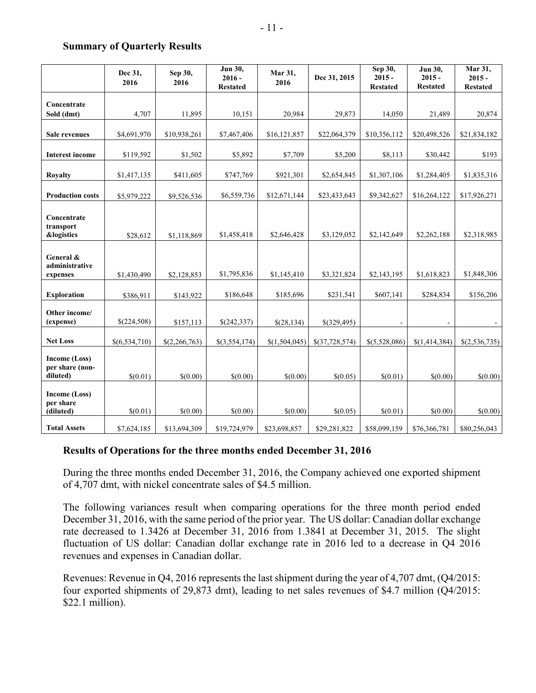#### **Summary of Quarterly Results**

|                                                     | Dec 31,<br>2016 | Sep 30,<br>2016 | Jun 30,<br>$2016 -$<br><b>Restated</b> | Mar 31,<br>2016 | Dec 31, 2015   | Sep 30,<br>$2015 -$<br><b>Restated</b> | Jun 30,<br>$2015 -$<br><b>Restated</b> | Mar 31,<br>$2015 -$<br><b>Restated</b> |  |
|-----------------------------------------------------|-----------------|-----------------|----------------------------------------|-----------------|----------------|----------------------------------------|----------------------------------------|----------------------------------------|--|
| Concentrate<br>Sold (dmt)                           | 4,707           | 11,895          | 10,151                                 | 20,984          | 29,873         | 14,050                                 | 21,489                                 | 20,874                                 |  |
| <b>Sale revenues</b>                                | \$4,691,970     | \$10,938,261    | \$7,467,406                            | \$16,121,857    | \$22,064,379   | \$10,356,112                           | \$20,498,526                           | \$21,834,182                           |  |
| <b>Interest income</b>                              | \$119,592       | \$1,502         | \$5,892                                | \$7,709         | \$5,200        | \$8,113                                | \$30,442                               | \$193                                  |  |
| <b>Royalty</b>                                      | \$1,417,135     | \$411,605       | \$747,769                              | \$921,301       | \$2,654,845    | \$1,307,106                            | \$1,284,405                            | \$1,835,316                            |  |
| <b>Production costs</b>                             | \$5,979,222     | \$9,526,536     | \$6,559,736                            | \$12,671,144    | \$23,433,643   | \$9,342,627                            | \$16,264,122                           | \$17,926,271                           |  |
| Concentrate                                         |                 |                 |                                        |                 |                |                                        |                                        |                                        |  |
| transport<br><b>&amp;logistics</b>                  | \$28,612        | \$1,118,869     | \$1,458,418                            | \$2,646,428     | \$3,129,052    | \$2,142,649                            | \$2,262,188                            | \$2,318,985                            |  |
| General &<br>administrative<br>expenses             | \$1,430,490     | \$2,128,853     | \$1,795,836                            | \$1,145,410     | \$3,321,824    | \$2,143,195                            | \$1,618,823                            | \$1,848,306                            |  |
| <b>Exploration</b>                                  | \$386,911       | \$143,922       | \$186,648                              | \$185,696       | \$231,541      | \$607,141                              | \$284,834                              | \$156,206                              |  |
| Other income/<br>(expense)                          | \$(224,508)     | \$157,113       | \$(242,337)                            | \$(28,134)      | \$(329,495)    | $\overline{\phantom{a}}$               |                                        |                                        |  |
| <b>Net Loss</b>                                     | \$(6,534,710)   | \$(2,266,763)   | \$(3,554,174)                          | \$(1,504,045)   | \$(37,728,574) | \$(5,528,086)                          | \$(1,414,384)                          | \$(2,536,735)                          |  |
| <b>Income (Loss)</b><br>per share (non-<br>diluted) | \$(0.01)        | \$(0.00)        | \$(0.00)                               | \$(0.00)        | \$(0.05)       | \$(0.01)                               | \$(0.00)                               | \$(0.00)                               |  |
| Income (Loss)<br>per share<br>(diluted)             | \$(0.01)        | \$(0.00)        | \$(0.00)                               | \$(0.00)        | \$(0.05)       | \$(0.01)                               | \$(0.00)                               | \$(0.00)                               |  |
| <b>Total Assets</b>                                 | \$7,624,185     | \$13,694,309    | \$19,724,979                           | \$23,698,857    | \$29,281,822   | \$58,099,159                           | \$76,366,781                           | \$80,256,043                           |  |

#### **Results of Operations for the three months ended December 31, 2016**

During the three months ended December 31, 2016, the Company achieved one exported shipment of 4,707 dmt, with nickel concentrate sales of \$4.5 million.

The following variances result when comparing operations for the three month period ended December 31, 2016, with the same period of the prior year. The US dollar: Canadian dollar exchange rate decreased to 1.3426 at December 31, 2016 from 1.3841 at December 31, 2015. The slight fluctuation of US dollar: Canadian dollar exchange rate in 2016 led to a decrease in Q4 2016 revenues and expenses in Canadian dollar.

Revenues: Revenue in Q4, 2016 represents the last shipment during the year of 4,707 dmt, (Q4/2015: four exported shipments of 29,873 dmt), leading to net sales revenues of \$4.7 million (Q4/2015: \$22.1 million).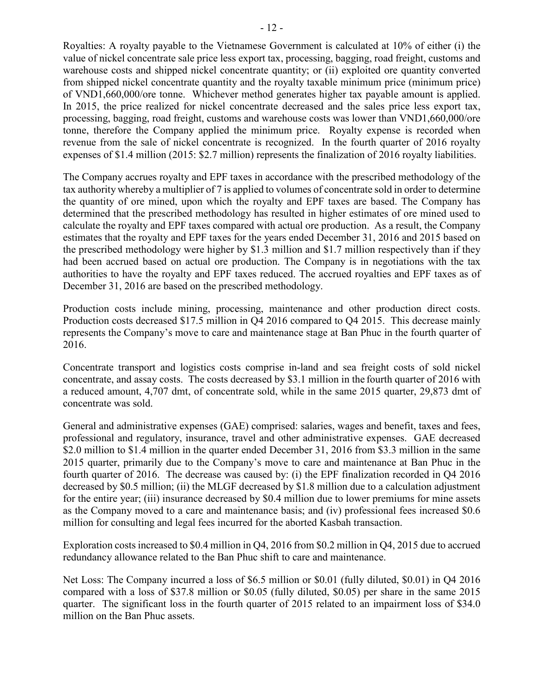Royalties: A royalty payable to the Vietnamese Government is calculated at 10% of either (i) the value of nickel concentrate sale price less export tax, processing, bagging, road freight, customs and warehouse costs and shipped nickel concentrate quantity; or (ii) exploited ore quantity converted from shipped nickel concentrate quantity and the royalty taxable minimum price (minimum price) of VND1,660,000/ore tonne. Whichever method generates higher tax payable amount is applied. In 2015, the price realized for nickel concentrate decreased and the sales price less export tax, processing, bagging, road freight, customs and warehouse costs was lower than VND1,660,000/ore tonne, therefore the Company applied the minimum price. Royalty expense is recorded when revenue from the sale of nickel concentrate is recognized. In the fourth quarter of 2016 royalty expenses of \$1.4 million (2015: \$2.7 million) represents the finalization of 2016 royalty liabilities.

The Company accrues royalty and EPF taxes in accordance with the prescribed methodology of the tax authority whereby a multiplier of 7 is applied to volumes of concentrate sold in order to determine the quantity of ore mined, upon which the royalty and EPF taxes are based. The Company has determined that the prescribed methodology has resulted in higher estimates of ore mined used to calculate the royalty and EPF taxes compared with actual ore production. As a result, the Company estimates that the royalty and EPF taxes for the years ended December 31, 2016 and 2015 based on the prescribed methodology were higher by \$1.3 million and \$1.7 million respectively than if they had been accrued based on actual ore production. The Company is in negotiations with the tax authorities to have the royalty and EPF taxes reduced. The accrued royalties and EPF taxes as of December 31, 2016 are based on the prescribed methodology.

Production costs include mining, processing, maintenance and other production direct costs. Production costs decreased \$17.5 million in Q4 2016 compared to Q4 2015. This decrease mainly represents the Company's move to care and maintenance stage at Ban Phuc in the fourth quarter of 2016.

Concentrate transport and logistics costs comprise in-land and sea freight costs of sold nickel concentrate, and assay costs. The costs decreased by \$3.1 million in the fourth quarter of 2016 with a reduced amount, 4,707 dmt, of concentrate sold, while in the same 2015 quarter, 29,873 dmt of concentrate was sold.

General and administrative expenses (GAE) comprised: salaries, wages and benefit, taxes and fees, professional and regulatory, insurance, travel and other administrative expenses. GAE decreased \$2.0 million to \$1.4 million in the quarter ended December 31, 2016 from \$3.3 million in the same 2015 quarter, primarily due to the Company's move to care and maintenance at Ban Phuc in the fourth quarter of 2016. The decrease was caused by: (i) the EPF finalization recorded in Q4 2016 decreased by \$0.5 million; (ii) the MLGF decreased by \$1.8 million due to a calculation adjustment for the entire year; (iii) insurance decreased by \$0.4 million due to lower premiums for mine assets as the Company moved to a care and maintenance basis; and (iv) professional fees increased \$0.6 million for consulting and legal fees incurred for the aborted Kasbah transaction.

Exploration costs increased to \$0.4 million in Q4, 2016 from \$0.2 million in Q4, 2015 due to accrued redundancy allowance related to the Ban Phuc shift to care and maintenance.

Net Loss: The Company incurred a loss of \$6.5 million or \$0.01 (fully diluted, \$0.01) in Q4 2016 compared with a loss of \$37.8 million or \$0.05 (fully diluted, \$0.05) per share in the same 2015 quarter. The significant loss in the fourth quarter of 2015 related to an impairment loss of \$34.0 million on the Ban Phuc assets.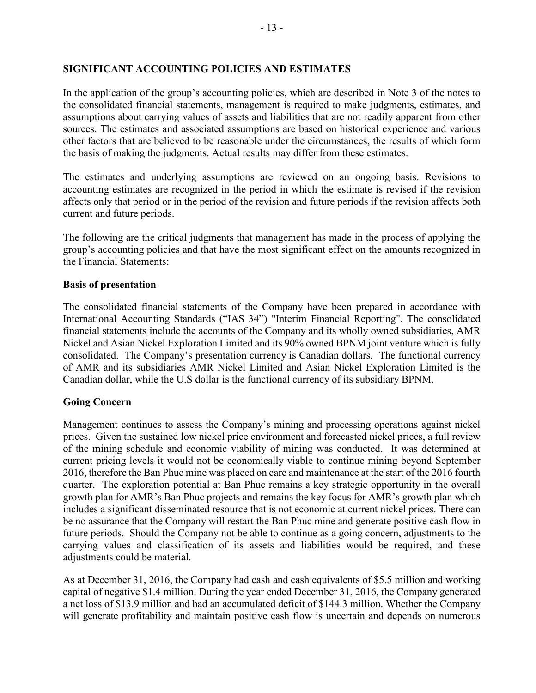### **SIGNIFICANT ACCOUNTING POLICIES AND ESTIMATES**

In the application of the group's accounting policies, which are described in Note 3 of the notes to the consolidated financial statements, management is required to make judgments, estimates, and assumptions about carrying values of assets and liabilities that are not readily apparent from other sources. The estimates and associated assumptions are based on historical experience and various other factors that are believed to be reasonable under the circumstances, the results of which form the basis of making the judgments. Actual results may differ from these estimates.

The estimates and underlying assumptions are reviewed on an ongoing basis. Revisions to accounting estimates are recognized in the period in which the estimate is revised if the revision affects only that period or in the period of the revision and future periods if the revision affects both current and future periods.

The following are the critical judgments that management has made in the process of applying the group's accounting policies and that have the most significant effect on the amounts recognized in the Financial Statements:

#### **Basis of presentation**

The consolidated financial statements of the Company have been prepared in accordance with International Accounting Standards ("IAS 34") "Interim Financial Reporting". The consolidated financial statements include the accounts of the Company and its wholly owned subsidiaries, AMR Nickel and Asian Nickel Exploration Limited and its 90% owned BPNM joint venture which is fully consolidated. The Company's presentation currency is Canadian dollars. The functional currency of AMR and its subsidiaries AMR Nickel Limited and Asian Nickel Exploration Limited is the Canadian dollar, while the U.S dollar is the functional currency of its subsidiary BPNM.

# **Going Concern**

Management continues to assess the Company's mining and processing operations against nickel prices. Given the sustained low nickel price environment and forecasted nickel prices, a full review of the mining schedule and economic viability of mining was conducted. It was determined at current pricing levels it would not be economically viable to continue mining beyond September 2016, therefore the Ban Phuc mine was placed on care and maintenance at the start of the 2016 fourth quarter. The exploration potential at Ban Phuc remains a key strategic opportunity in the overall growth plan for AMR's Ban Phuc projects and remains the key focus for AMR's growth plan which includes a significant disseminated resource that is not economic at current nickel prices. There can be no assurance that the Company will restart the Ban Phuc mine and generate positive cash flow in future periods. Should the Company not be able to continue as a going concern, adjustments to the carrying values and classification of its assets and liabilities would be required, and these adjustments could be material.

As at December 31, 2016, the Company had cash and cash equivalents of \$5.5 million and working capital of negative \$1.4 million. During the year ended December 31, 2016, the Company generated a net loss of \$13.9 million and had an accumulated deficit of \$144.3 million. Whether the Company will generate profitability and maintain positive cash flow is uncertain and depends on numerous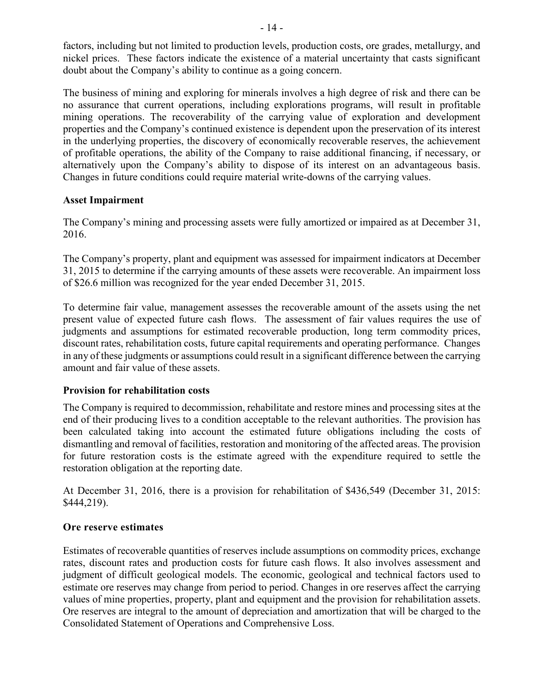factors, including but not limited to production levels, production costs, ore grades, metallurgy, and nickel prices. These factors indicate the existence of a material uncertainty that casts significant doubt about the Company's ability to continue as a going concern.

The business of mining and exploring for minerals involves a high degree of risk and there can be no assurance that current operations, including explorations programs, will result in profitable mining operations. The recoverability of the carrying value of exploration and development properties and the Company's continued existence is dependent upon the preservation of its interest in the underlying properties, the discovery of economically recoverable reserves, the achievement of profitable operations, the ability of the Company to raise additional financing, if necessary, or alternatively upon the Company's ability to dispose of its interest on an advantageous basis. Changes in future conditions could require material write-downs of the carrying values.

# **Asset Impairment**

The Company's mining and processing assets were fully amortized or impaired as at December 31, 2016.

The Company's property, plant and equipment was assessed for impairment indicators at December 31, 2015 to determine if the carrying amounts of these assets were recoverable. An impairment loss of \$26.6 million was recognized for the year ended December 31, 2015.

To determine fair value, management assesses the recoverable amount of the assets using the net present value of expected future cash flows. The assessment of fair values requires the use of judgments and assumptions for estimated recoverable production, long term commodity prices, discount rates, rehabilitation costs, future capital requirements and operating performance. Changes in any of these judgments or assumptions could result in a significant difference between the carrying amount and fair value of these assets.

# **Provision for rehabilitation costs**

The Company is required to decommission, rehabilitate and restore mines and processing sites at the end of their producing lives to a condition acceptable to the relevant authorities. The provision has been calculated taking into account the estimated future obligations including the costs of dismantling and removal of facilities, restoration and monitoring of the affected areas. The provision for future restoration costs is the estimate agreed with the expenditure required to settle the restoration obligation at the reporting date.

At December 31, 2016, there is a provision for rehabilitation of \$436,549 (December 31, 2015: \$444,219).

# **Ore reserve estimates**

Estimates of recoverable quantities of reserves include assumptions on commodity prices, exchange rates, discount rates and production costs for future cash flows. It also involves assessment and judgment of difficult geological models. The economic, geological and technical factors used to estimate ore reserves may change from period to period. Changes in ore reserves affect the carrying values of mine properties, property, plant and equipment and the provision for rehabilitation assets. Ore reserves are integral to the amount of depreciation and amortization that will be charged to the Consolidated Statement of Operations and Comprehensive Loss.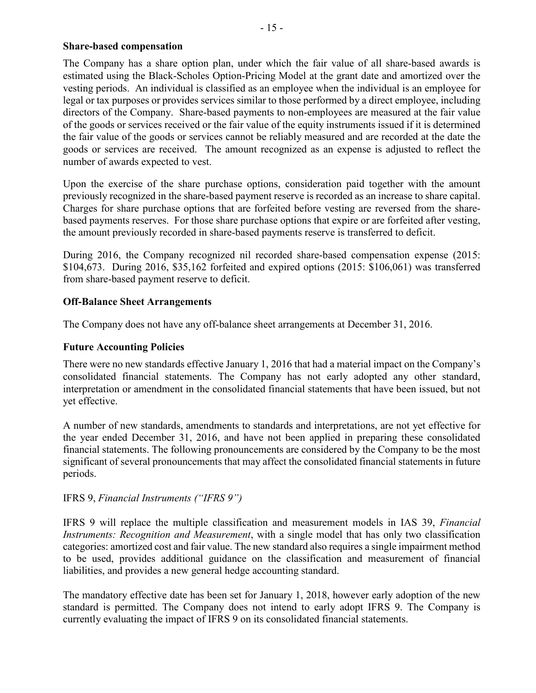### **Share-based compensation**

The Company has a share option plan, under which the fair value of all share-based awards is estimated using the Black-Scholes Option-Pricing Model at the grant date and amortized over the vesting periods. An individual is classified as an employee when the individual is an employee for legal or tax purposes or provides services similar to those performed by a direct employee, including directors of the Company. Share-based payments to non-employees are measured at the fair value of the goods or services received or the fair value of the equity instruments issued if it is determined the fair value of the goods or services cannot be reliably measured and are recorded at the date the goods or services are received. The amount recognized as an expense is adjusted to reflect the number of awards expected to vest.

Upon the exercise of the share purchase options, consideration paid together with the amount previously recognized in the share-based payment reserve is recorded as an increase to share capital. Charges for share purchase options that are forfeited before vesting are reversed from the sharebased payments reserves. For those share purchase options that expire or are forfeited after vesting, the amount previously recorded in share-based payments reserve is transferred to deficit.

During 2016, the Company recognized nil recorded share-based compensation expense (2015: \$104,673. During 2016, \$35,162 forfeited and expired options (2015: \$106,061) was transferred from share-based payment reserve to deficit.

# **Off-Balance Sheet Arrangements**

The Company does not have any off-balance sheet arrangements at December 31, 2016.

# **Future Accounting Policies**

There were no new standards effective January 1, 2016 that had a material impact on the Company's consolidated financial statements. The Company has not early adopted any other standard, interpretation or amendment in the consolidated financial statements that have been issued, but not yet effective.

A number of new standards, amendments to standards and interpretations, are not yet effective for the year ended December 31, 2016, and have not been applied in preparing these consolidated financial statements. The following pronouncements are considered by the Company to be the most significant of several pronouncements that may affect the consolidated financial statements in future periods.

# IFRS 9, *Financial Instruments ("IFRS 9")*

IFRS 9 will replace the multiple classification and measurement models in IAS 39, *Financial Instruments: Recognition and Measurement*, with a single model that has only two classification categories: amortized cost and fair value. The new standard also requires a single impairment method to be used, provides additional guidance on the classification and measurement of financial liabilities, and provides a new general hedge accounting standard.

The mandatory effective date has been set for January 1, 2018, however early adoption of the new standard is permitted. The Company does not intend to early adopt IFRS 9. The Company is currently evaluating the impact of IFRS 9 on its consolidated financial statements.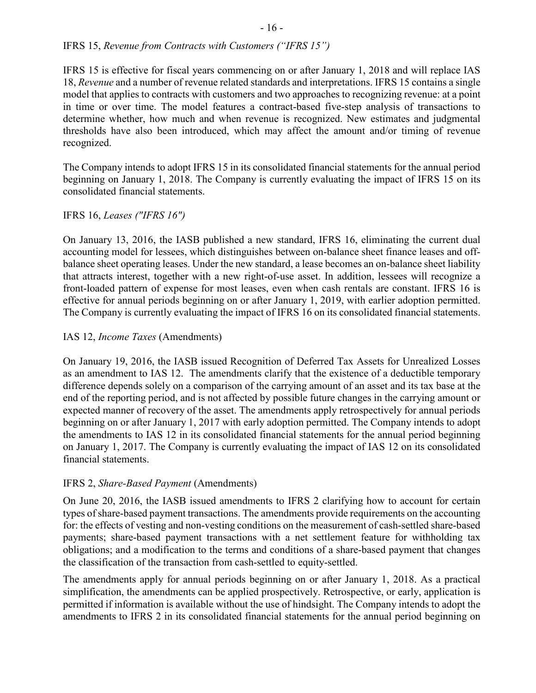# IFRS 15, *Revenue from Contracts with Customers ("IFRS 15")*

IFRS 15 is effective for fiscal years commencing on or after January 1, 2018 and will replace IAS 18, *Revenue* and a number of revenue related standards and interpretations. IFRS 15 contains a single model that applies to contracts with customers and two approaches to recognizing revenue: at a point in time or over time. The model features a contract-based five-step analysis of transactions to determine whether, how much and when revenue is recognized. New estimates and judgmental thresholds have also been introduced, which may affect the amount and/or timing of revenue recognized.

The Company intends to adopt IFRS 15 in its consolidated financial statements for the annual period beginning on January 1, 2018. The Company is currently evaluating the impact of IFRS 15 on its consolidated financial statements.

# IFRS 16, *Leases ("IFRS 16")*

On January 13, 2016, the IASB published a new standard, IFRS 16, eliminating the current dual accounting model for lessees, which distinguishes between on-balance sheet finance leases and offbalance sheet operating leases. Under the new standard, a lease becomes an on-balance sheet liability that attracts interest, together with a new right-of-use asset. In addition, lessees will recognize a front-loaded pattern of expense for most leases, even when cash rentals are constant. IFRS 16 is effective for annual periods beginning on or after January 1, 2019, with earlier adoption permitted. The Company is currently evaluating the impact of IFRS 16 on its consolidated financial statements.

# IAS 12, *Income Taxes* (Amendments)

On January 19, 2016, the IASB issued Recognition of Deferred Tax Assets for Unrealized Losses as an amendment to IAS 12. The amendments clarify that the existence of a deductible temporary difference depends solely on a comparison of the carrying amount of an asset and its tax base at the end of the reporting period, and is not affected by possible future changes in the carrying amount or expected manner of recovery of the asset. The amendments apply retrospectively for annual periods beginning on or after January 1, 2017 with early adoption permitted. The Company intends to adopt the amendments to IAS 12 in its consolidated financial statements for the annual period beginning on January 1, 2017. The Company is currently evaluating the impact of IAS 12 on its consolidated financial statements.

# IFRS 2, *Share-Based Payment* (Amendments)

On June 20, 2016, the IASB issued amendments to IFRS 2 clarifying how to account for certain types of share-based payment transactions. The amendments provide requirements on the accounting for: the effects of vesting and non-vesting conditions on the measurement of cash-settled share-based payments; share-based payment transactions with a net settlement feature for withholding tax obligations; and a modification to the terms and conditions of a share-based payment that changes the classification of the transaction from cash-settled to equity-settled.

The amendments apply for annual periods beginning on or after January 1, 2018. As a practical simplification, the amendments can be applied prospectively. Retrospective, or early, application is permitted if information is available without the use of hindsight. The Company intends to adopt the amendments to IFRS 2 in its consolidated financial statements for the annual period beginning on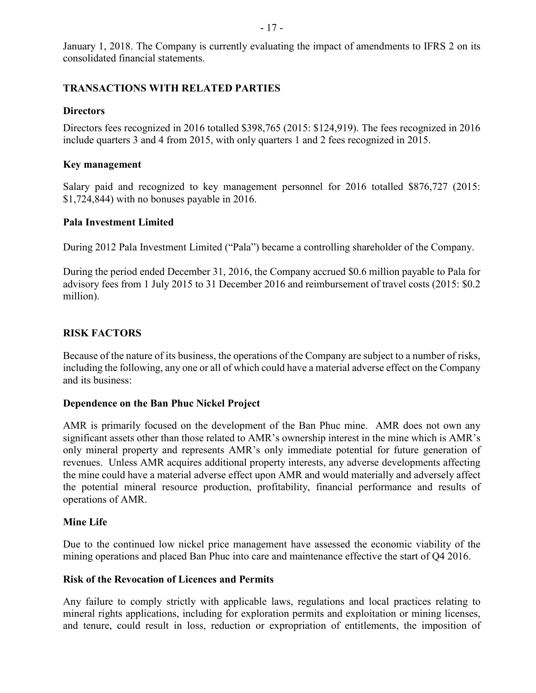January 1, 2018. The Company is currently evaluating the impact of amendments to IFRS 2 on its consolidated financial statements.

### **TRANSACTIONS WITH RELATED PARTIES**

### **Directors**

Directors fees recognized in 2016 totalled \$398,765 (2015: \$124,919). The fees recognized in 2016 include quarters 3 and 4 from 2015, with only quarters 1 and 2 fees recognized in 2015.

### **Key management**

Salary paid and recognized to key management personnel for 2016 totalled \$876,727 (2015: \$1,724,844) with no bonuses payable in 2016.

#### **Pala Investment Limited**

During 2012 Pala Investment Limited ("Pala") became a controlling shareholder of the Company.

During the period ended December 31, 2016, the Company accrued \$0.6 million payable to Pala for advisory fees from 1 July 2015 to 31 December 2016 and reimbursement of travel costs (2015: \$0.2 million).

# **RISK FACTORS**

Because of the nature of its business, the operations of the Company are subject to a number of risks, including the following, any one or all of which could have a material adverse effect on the Company and its business:

#### **Dependence on the Ban Phuc Nickel Project**

AMR is primarily focused on the development of the Ban Phuc mine. AMR does not own any significant assets other than those related to AMR's ownership interest in the mine which is AMR's only mineral property and represents AMR's only immediate potential for future generation of revenues. Unless AMR acquires additional property interests, any adverse developments affecting the mine could have a material adverse effect upon AMR and would materially and adversely affect the potential mineral resource production, profitability, financial performance and results of operations of AMR.

#### **Mine Life**

Due to the continued low nickel price management have assessed the economic viability of the mining operations and placed Ban Phuc into care and maintenance effective the start of Q4 2016.

#### **Risk of the Revocation of Licences and Permits**

Any failure to comply strictly with applicable laws, regulations and local practices relating to mineral rights applications, including for exploration permits and exploitation or mining licenses, and tenure, could result in loss, reduction or expropriation of entitlements, the imposition of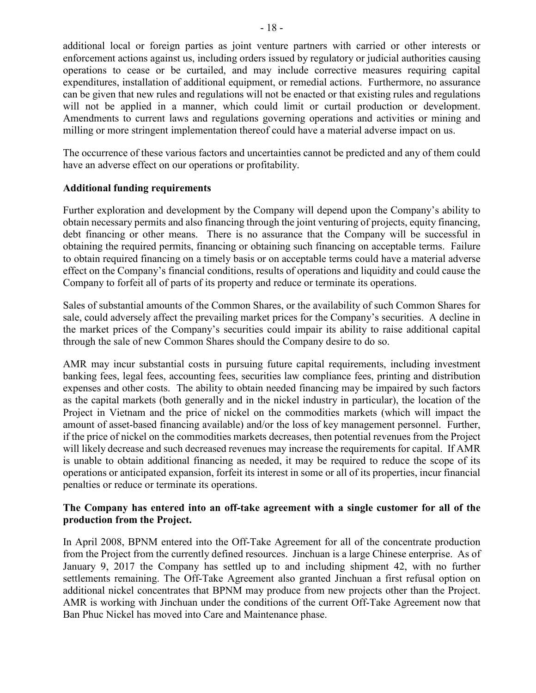additional local or foreign parties as joint venture partners with carried or other interests or enforcement actions against us, including orders issued by regulatory or judicial authorities causing operations to cease or be curtailed, and may include corrective measures requiring capital expenditures, installation of additional equipment, or remedial actions. Furthermore, no assurance can be given that new rules and regulations will not be enacted or that existing rules and regulations will not be applied in a manner, which could limit or curtail production or development. Amendments to current laws and regulations governing operations and activities or mining and milling or more stringent implementation thereof could have a material adverse impact on us.

The occurrence of these various factors and uncertainties cannot be predicted and any of them could have an adverse effect on our operations or profitability.

### **Additional funding requirements**

Further exploration and development by the Company will depend upon the Company's ability to obtain necessary permits and also financing through the joint venturing of projects, equity financing, debt financing or other means. There is no assurance that the Company will be successful in obtaining the required permits, financing or obtaining such financing on acceptable terms. Failure to obtain required financing on a timely basis or on acceptable terms could have a material adverse effect on the Company's financial conditions, results of operations and liquidity and could cause the Company to forfeit all of parts of its property and reduce or terminate its operations.

Sales of substantial amounts of the Common Shares, or the availability of such Common Shares for sale, could adversely affect the prevailing market prices for the Company's securities. A decline in the market prices of the Company's securities could impair its ability to raise additional capital through the sale of new Common Shares should the Company desire to do so.

AMR may incur substantial costs in pursuing future capital requirements, including investment banking fees, legal fees, accounting fees, securities law compliance fees, printing and distribution expenses and other costs. The ability to obtain needed financing may be impaired by such factors as the capital markets (both generally and in the nickel industry in particular), the location of the Project in Vietnam and the price of nickel on the commodities markets (which will impact the amount of asset-based financing available) and/or the loss of key management personnel. Further, if the price of nickel on the commodities markets decreases, then potential revenues from the Project will likely decrease and such decreased revenues may increase the requirements for capital. If AMR is unable to obtain additional financing as needed, it may be required to reduce the scope of its operations or anticipated expansion, forfeit its interest in some or all of its properties, incur financial penalties or reduce or terminate its operations.

### **The Company has entered into an off-take agreement with a single customer for all of the production from the Project.**

In April 2008, BPNM entered into the Off-Take Agreement for all of the concentrate production from the Project from the currently defined resources. Jinchuan is a large Chinese enterprise. As of January 9, 2017 the Company has settled up to and including shipment 42, with no further settlements remaining. The Off-Take Agreement also granted Jinchuan a first refusal option on additional nickel concentrates that BPNM may produce from new projects other than the Project. AMR is working with Jinchuan under the conditions of the current Off-Take Agreement now that Ban Phuc Nickel has moved into Care and Maintenance phase.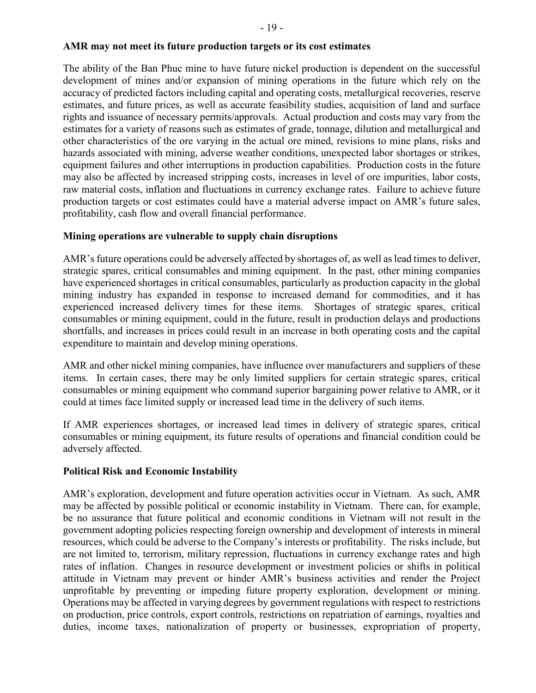#### **AMR may not meet its future production targets or its cost estimates**

The ability of the Ban Phuc mine to have future nickel production is dependent on the successful development of mines and/or expansion of mining operations in the future which rely on the accuracy of predicted factors including capital and operating costs, metallurgical recoveries, reserve estimates, and future prices, as well as accurate feasibility studies, acquisition of land and surface rights and issuance of necessary permits/approvals. Actual production and costs may vary from the estimates for a variety of reasons such as estimates of grade, tonnage, dilution and metallurgical and other characteristics of the ore varying in the actual ore mined, revisions to mine plans, risks and hazards associated with mining, adverse weather conditions, unexpected labor shortages or strikes, equipment failures and other interruptions in production capabilities. Production costs in the future may also be affected by increased stripping costs, increases in level of ore impurities, labor costs, raw material costs, inflation and fluctuations in currency exchange rates. Failure to achieve future production targets or cost estimates could have a material adverse impact on AMR's future sales, profitability, cash flow and overall financial performance.

#### **Mining operations are vulnerable to supply chain disruptions**

AMR's future operations could be adversely affected by shortages of, as well as lead times to deliver, strategic spares, critical consumables and mining equipment. In the past, other mining companies have experienced shortages in critical consumables, particularly as production capacity in the global mining industry has expanded in response to increased demand for commodities, and it has experienced increased delivery times for these items. Shortages of strategic spares, critical consumables or mining equipment, could in the future, result in production delays and productions shortfalls, and increases in prices could result in an increase in both operating costs and the capital expenditure to maintain and develop mining operations.

AMR and other nickel mining companies, have influence over manufacturers and suppliers of these items. In certain cases, there may be only limited suppliers for certain strategic spares, critical consumables or mining equipment who command superior bargaining power relative to AMR, or it could at times face limited supply or increased lead time in the delivery of such items.

If AMR experiences shortages, or increased lead times in delivery of strategic spares, critical consumables or mining equipment, its future results of operations and financial condition could be adversely affected.

#### **Political Risk and Economic Instability**

AMR's exploration, development and future operation activities occur in Vietnam. As such, AMR may be affected by possible political or economic instability in Vietnam. There can, for example, be no assurance that future political and economic conditions in Vietnam will not result in the government adopting policies respecting foreign ownership and development of interests in mineral resources, which could be adverse to the Company's interests or profitability. The risks include, but are not limited to, terrorism, military repression, fluctuations in currency exchange rates and high rates of inflation. Changes in resource development or investment policies or shifts in political attitude in Vietnam may prevent or hinder AMR's business activities and render the Project unprofitable by preventing or impeding future property exploration, development or mining. Operations may be affected in varying degrees by government regulations with respect to restrictions on production, price controls, export controls, restrictions on repatriation of earnings, royalties and duties, income taxes, nationalization of property or businesses, expropriation of property,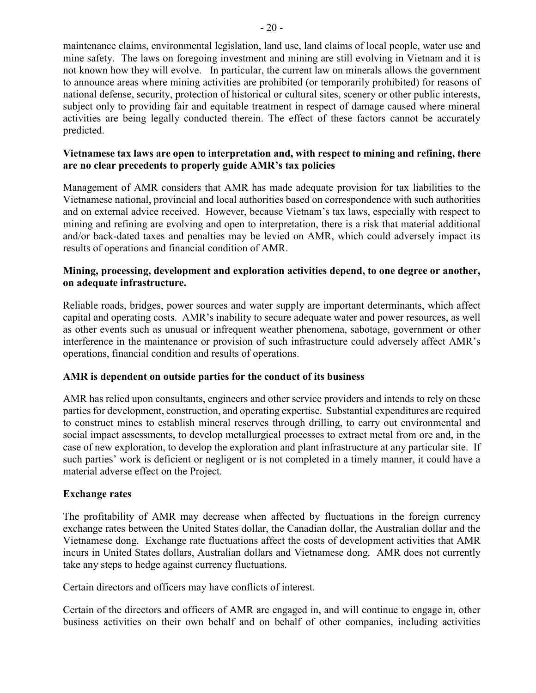### **Vietnamese tax laws are open to interpretation and, with respect to mining and refining, there are no clear precedents to properly guide AMR's tax policies**

Management of AMR considers that AMR has made adequate provision for tax liabilities to the Vietnamese national, provincial and local authorities based on correspondence with such authorities and on external advice received. However, because Vietnam's tax laws, especially with respect to mining and refining are evolving and open to interpretation, there is a risk that material additional and/or back-dated taxes and penalties may be levied on AMR, which could adversely impact its results of operations and financial condition of AMR.

### **Mining, processing, development and exploration activities depend, to one degree or another, on adequate infrastructure.**

Reliable roads, bridges, power sources and water supply are important determinants, which affect capital and operating costs. AMR's inability to secure adequate water and power resources, as well as other events such as unusual or infrequent weather phenomena, sabotage, government or other interference in the maintenance or provision of such infrastructure could adversely affect AMR's operations, financial condition and results of operations.

# **AMR is dependent on outside parties for the conduct of its business**

AMR has relied upon consultants, engineers and other service providers and intends to rely on these parties for development, construction, and operating expertise. Substantial expenditures are required to construct mines to establish mineral reserves through drilling, to carry out environmental and social impact assessments, to develop metallurgical processes to extract metal from ore and, in the case of new exploration, to develop the exploration and plant infrastructure at any particular site. If such parties' work is deficient or negligent or is not completed in a timely manner, it could have a material adverse effect on the Project.

# **Exchange rates**

predicted.

The profitability of AMR may decrease when affected by fluctuations in the foreign currency exchange rates between the United States dollar, the Canadian dollar, the Australian dollar and the Vietnamese dong. Exchange rate fluctuations affect the costs of development activities that AMR incurs in United States dollars, Australian dollars and Vietnamese dong. AMR does not currently take any steps to hedge against currency fluctuations.

Certain directors and officers may have conflicts of interest.

Certain of the directors and officers of AMR are engaged in, and will continue to engage in, other business activities on their own behalf and on behalf of other companies, including activities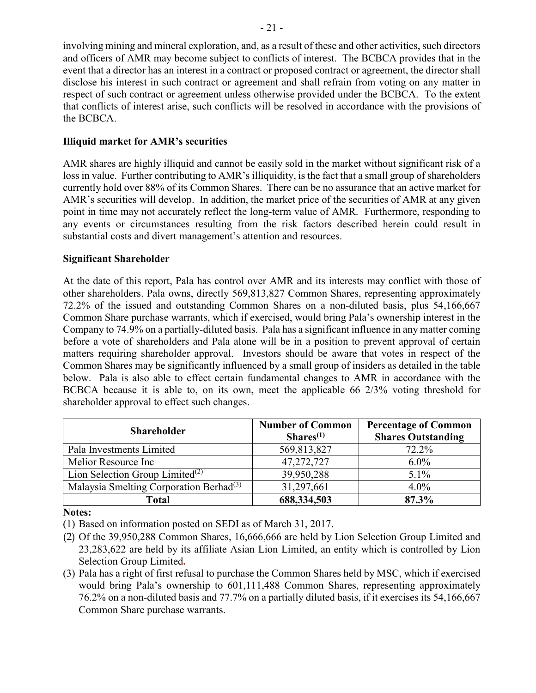involving mining and mineral exploration, and, as a result of these and other activities, such directors and officers of AMR may become subject to conflicts of interest. The BCBCA provides that in the event that a director has an interest in a contract or proposed contract or agreement, the director shall disclose his interest in such contract or agreement and shall refrain from voting on any matter in respect of such contract or agreement unless otherwise provided under the BCBCA. To the extent that conflicts of interest arise, such conflicts will be resolved in accordance with the provisions of the BCBCA.

# **Illiquid market for AMR's securities**

AMR shares are highly illiquid and cannot be easily sold in the market without significant risk of a loss in value. Further contributing to AMR's illiquidity, is the fact that a small group of shareholders currently hold over 88% of its Common Shares. There can be no assurance that an active market for AMR's securities will develop. In addition, the market price of the securities of AMR at any given point in time may not accurately reflect the long-term value of AMR. Furthermore, responding to any events or circumstances resulting from the risk factors described herein could result in substantial costs and divert management's attention and resources.

# **Significant Shareholder**

At the date of this report, Pala has control over AMR and its interests may conflict with those of other shareholders. Pala owns, directly 569,813,827 Common Shares, representing approximately 72.2% of the issued and outstanding Common Shares on a non-diluted basis, plus 54,166,667 Common Share purchase warrants, which if exercised, would bring Pala's ownership interest in the Company to 74.9% on a partially-diluted basis. Pala has a significant influence in any matter coming before a vote of shareholders and Pala alone will be in a position to prevent approval of certain matters requiring shareholder approval. Investors should be aware that votes in respect of the Common Shares may be significantly influenced by a small group of insiders as detailed in the table below. Pala is also able to effect certain fundamental changes to AMR in accordance with the BCBCA because it is able to, on its own, meet the applicable 66 2/3% voting threshold for shareholder approval to effect such changes.

| <b>Shareholder</b>                                  | <b>Number of Common</b><br>$Shares^{(1)}$ | <b>Percentage of Common</b><br><b>Shares Outstanding</b> |
|-----------------------------------------------------|-------------------------------------------|----------------------------------------------------------|
| Pala Investments Limited                            | 569,813,827                               | 72.2%                                                    |
| Melior Resource Inc                                 | 47,272,727                                | $6.0\%$                                                  |
| Lion Selection Group Limited <sup>(2)</sup>         | 39,950,288                                | $5.1\%$                                                  |
| Malaysia Smelting Corporation Berhad <sup>(3)</sup> | 31,297,661                                | $4.0\%$                                                  |
| <b>Total</b>                                        | 688,334,503                               | 87.3%                                                    |

**Notes:**

(1) Based on information posted on SEDI as of March 31, 2017.

- (2) Of the 39,950,288 Common Shares, 16,666,666 are held by Lion Selection Group Limited and 23,283,622 are held by its affiliate Asian Lion Limited, an entity which is controlled by Lion Selection Group Limited**.**
- (3) Pala has a right of first refusal to purchase the Common Shares held by MSC, which if exercised would bring Pala's ownership to 601,111,488 Common Shares, representing approximately 76.2% on a non-diluted basis and 77.7% on a partially diluted basis, if it exercises its 54,166,667 Common Share purchase warrants.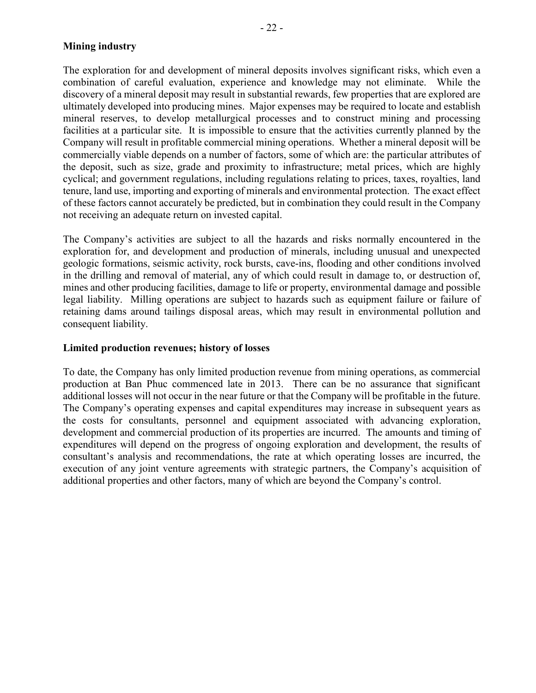### **Mining industry**

The exploration for and development of mineral deposits involves significant risks, which even a combination of careful evaluation, experience and knowledge may not eliminate. While the discovery of a mineral deposit may result in substantial rewards, few properties that are explored are ultimately developed into producing mines. Major expenses may be required to locate and establish mineral reserves, to develop metallurgical processes and to construct mining and processing facilities at a particular site. It is impossible to ensure that the activities currently planned by the Company will result in profitable commercial mining operations. Whether a mineral deposit will be commercially viable depends on a number of factors, some of which are: the particular attributes of the deposit, such as size, grade and proximity to infrastructure; metal prices, which are highly cyclical; and government regulations, including regulations relating to prices, taxes, royalties, land tenure, land use, importing and exporting of minerals and environmental protection. The exact effect of these factors cannot accurately be predicted, but in combination they could result in the Company not receiving an adequate return on invested capital.

The Company's activities are subject to all the hazards and risks normally encountered in the exploration for, and development and production of minerals, including unusual and unexpected geologic formations, seismic activity, rock bursts, cave-ins, flooding and other conditions involved in the drilling and removal of material, any of which could result in damage to, or destruction of, mines and other producing facilities, damage to life or property, environmental damage and possible legal liability. Milling operations are subject to hazards such as equipment failure or failure of retaining dams around tailings disposal areas, which may result in environmental pollution and consequent liability.

#### **Limited production revenues; history of losses**

To date, the Company has only limited production revenue from mining operations, as commercial production at Ban Phuc commenced late in 2013. There can be no assurance that significant additional losses will not occur in the near future or that the Company will be profitable in the future. The Company's operating expenses and capital expenditures may increase in subsequent years as the costs for consultants, personnel and equipment associated with advancing exploration, development and commercial production of its properties are incurred. The amounts and timing of expenditures will depend on the progress of ongoing exploration and development, the results of consultant's analysis and recommendations, the rate at which operating losses are incurred, the execution of any joint venture agreements with strategic partners, the Company's acquisition of additional properties and other factors, many of which are beyond the Company's control.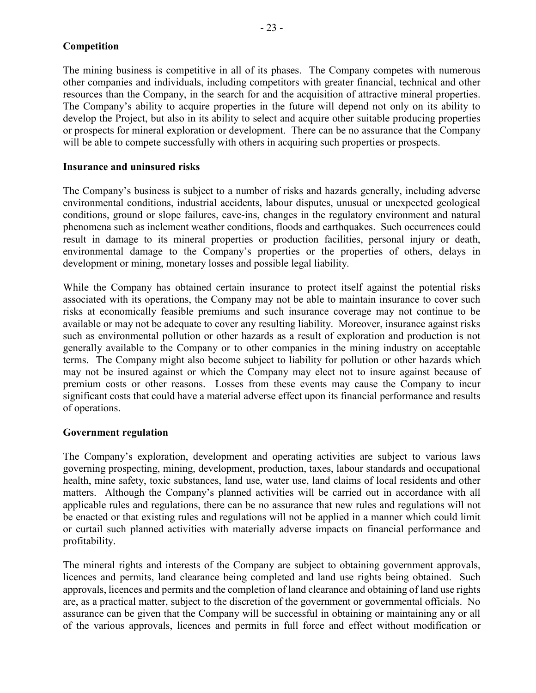The mining business is competitive in all of its phases. The Company competes with numerous other companies and individuals, including competitors with greater financial, technical and other resources than the Company, in the search for and the acquisition of attractive mineral properties. The Company's ability to acquire properties in the future will depend not only on its ability to develop the Project, but also in its ability to select and acquire other suitable producing properties or prospects for mineral exploration or development. There can be no assurance that the Company will be able to compete successfully with others in acquiring such properties or prospects.

#### **Insurance and uninsured risks**

The Company's business is subject to a number of risks and hazards generally, including adverse environmental conditions, industrial accidents, labour disputes, unusual or unexpected geological conditions, ground or slope failures, cave-ins, changes in the regulatory environment and natural phenomena such as inclement weather conditions, floods and earthquakes. Such occurrences could result in damage to its mineral properties or production facilities, personal injury or death, environmental damage to the Company's properties or the properties of others, delays in development or mining, monetary losses and possible legal liability.

While the Company has obtained certain insurance to protect itself against the potential risks associated with its operations, the Company may not be able to maintain insurance to cover such risks at economically feasible premiums and such insurance coverage may not continue to be available or may not be adequate to cover any resulting liability. Moreover, insurance against risks such as environmental pollution or other hazards as a result of exploration and production is not generally available to the Company or to other companies in the mining industry on acceptable terms. The Company might also become subject to liability for pollution or other hazards which may not be insured against or which the Company may elect not to insure against because of premium costs or other reasons. Losses from these events may cause the Company to incur significant costs that could have a material adverse effect upon its financial performance and results of operations.

#### **Government regulation**

The Company's exploration, development and operating activities are subject to various laws governing prospecting, mining, development, production, taxes, labour standards and occupational health, mine safety, toxic substances, land use, water use, land claims of local residents and other matters. Although the Company's planned activities will be carried out in accordance with all applicable rules and regulations, there can be no assurance that new rules and regulations will not be enacted or that existing rules and regulations will not be applied in a manner which could limit or curtail such planned activities with materially adverse impacts on financial performance and profitability.

The mineral rights and interests of the Company are subject to obtaining government approvals, licences and permits, land clearance being completed and land use rights being obtained. Such approvals, licences and permits and the completion of land clearance and obtaining of land use rights are, as a practical matter, subject to the discretion of the government or governmental officials. No assurance can be given that the Company will be successful in obtaining or maintaining any or all of the various approvals, licences and permits in full force and effect without modification or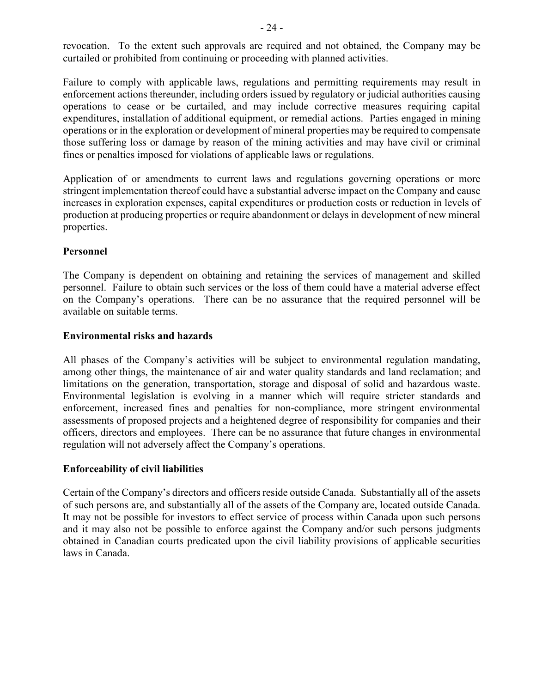revocation. To the extent such approvals are required and not obtained, the Company may be curtailed or prohibited from continuing or proceeding with planned activities.

Failure to comply with applicable laws, regulations and permitting requirements may result in enforcement actions thereunder, including orders issued by regulatory or judicial authorities causing operations to cease or be curtailed, and may include corrective measures requiring capital expenditures, installation of additional equipment, or remedial actions. Parties engaged in mining operations or in the exploration or development of mineral properties may be required to compensate those suffering loss or damage by reason of the mining activities and may have civil or criminal fines or penalties imposed for violations of applicable laws or regulations.

Application of or amendments to current laws and regulations governing operations or more stringent implementation thereof could have a substantial adverse impact on the Company and cause increases in exploration expenses, capital expenditures or production costs or reduction in levels of production at producing properties or require abandonment or delays in development of new mineral properties.

### **Personnel**

The Company is dependent on obtaining and retaining the services of management and skilled personnel. Failure to obtain such services or the loss of them could have a material adverse effect on the Company's operations. There can be no assurance that the required personnel will be available on suitable terms.

#### **Environmental risks and hazards**

All phases of the Company's activities will be subject to environmental regulation mandating, among other things, the maintenance of air and water quality standards and land reclamation; and limitations on the generation, transportation, storage and disposal of solid and hazardous waste. Environmental legislation is evolving in a manner which will require stricter standards and enforcement, increased fines and penalties for non-compliance, more stringent environmental assessments of proposed projects and a heightened degree of responsibility for companies and their officers, directors and employees. There can be no assurance that future changes in environmental regulation will not adversely affect the Company's operations.

#### **Enforceability of civil liabilities**

Certain of the Company's directors and officers reside outside Canada. Substantially all of the assets of such persons are, and substantially all of the assets of the Company are, located outside Canada. It may not be possible for investors to effect service of process within Canada upon such persons and it may also not be possible to enforce against the Company and/or such persons judgments obtained in Canadian courts predicated upon the civil liability provisions of applicable securities laws in Canada.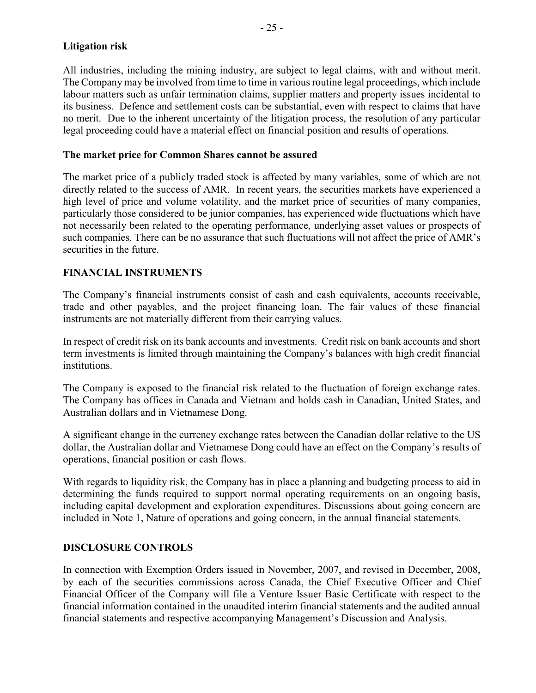### **Litigation risk**

All industries, including the mining industry, are subject to legal claims, with and without merit. The Company may be involved from time to time in various routine legal proceedings, which include labour matters such as unfair termination claims, supplier matters and property issues incidental to its business. Defence and settlement costs can be substantial, even with respect to claims that have no merit. Due to the inherent uncertainty of the litigation process, the resolution of any particular legal proceeding could have a material effect on financial position and results of operations.

### **The market price for Common Shares cannot be assured**

The market price of a publicly traded stock is affected by many variables, some of which are not directly related to the success of AMR. In recent years, the securities markets have experienced a high level of price and volume volatility, and the market price of securities of many companies, particularly those considered to be junior companies, has experienced wide fluctuations which have not necessarily been related to the operating performance, underlying asset values or prospects of such companies. There can be no assurance that such fluctuations will not affect the price of AMR's securities in the future.

# **FINANCIAL INSTRUMENTS**

The Company's financial instruments consist of cash and cash equivalents, accounts receivable, trade and other payables, and the project financing loan. The fair values of these financial instruments are not materially different from their carrying values.

In respect of credit risk on its bank accounts and investments. Credit risk on bank accounts and short term investments is limited through maintaining the Company's balances with high credit financial institutions.

The Company is exposed to the financial risk related to the fluctuation of foreign exchange rates. The Company has offices in Canada and Vietnam and holds cash in Canadian, United States, and Australian dollars and in Vietnamese Dong.

A significant change in the currency exchange rates between the Canadian dollar relative to the US dollar, the Australian dollar and Vietnamese Dong could have an effect on the Company's results of operations, financial position or cash flows.

With regards to liquidity risk, the Company has in place a planning and budgeting process to aid in determining the funds required to support normal operating requirements on an ongoing basis, including capital development and exploration expenditures. Discussions about going concern are included in Note 1, Nature of operations and going concern, in the annual financial statements.

#### **DISCLOSURE CONTROLS**

In connection with Exemption Orders issued in November, 2007, and revised in December, 2008, by each of the securities commissions across Canada, the Chief Executive Officer and Chief Financial Officer of the Company will file a Venture Issuer Basic Certificate with respect to the financial information contained in the unaudited interim financial statements and the audited annual financial statements and respective accompanying Management's Discussion and Analysis.